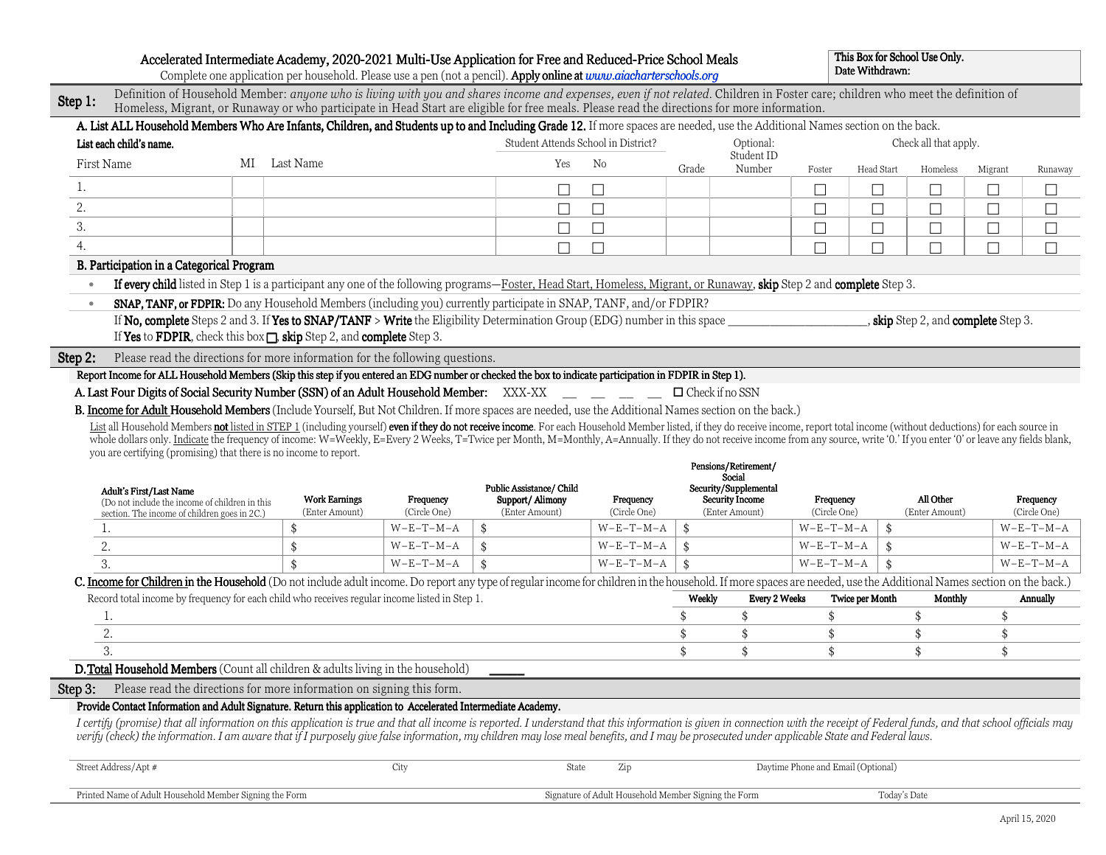|           | Accelerated Intermediate Academy, 2020-2021 Multi-Use Application for Free and Reduced-Price School Meals<br>Complete one application per household. Please use a pen (not a pencil). Apply online at www.aiacharterschools.org                                                                                                                                                                                               |                                        |                           |                                     |                                                      |        |                                          |                                    | Date Withdrawn: | This Box for School Use Only.       |         |                           |
|-----------|-------------------------------------------------------------------------------------------------------------------------------------------------------------------------------------------------------------------------------------------------------------------------------------------------------------------------------------------------------------------------------------------------------------------------------|----------------------------------------|---------------------------|-------------------------------------|------------------------------------------------------|--------|------------------------------------------|------------------------------------|-----------------|-------------------------------------|---------|---------------------------|
| Step 1:   | Definition of Household Member: anyone who is living with you and shares income and expenses, even if not related. Children in Foster care; children who meet the definition of<br>Homeless, Migrant, or Runaway or who participate in Head Start are eligible for free meals. Please read the directions for more information.                                                                                               |                                        |                           |                                     |                                                      |        |                                          |                                    |                 |                                     |         |                           |
|           | A. List ALL Household Members Who Are Infants, Children, and Students up to and Including Grade 12. If more spaces are needed, use the Additional Names section on the back.                                                                                                                                                                                                                                                  |                                        |                           |                                     |                                                      |        |                                          |                                    |                 |                                     |         |                           |
|           | List each child's name.                                                                                                                                                                                                                                                                                                                                                                                                       |                                        |                           | Student Attends School in District? |                                                      |        | Optional:                                |                                    |                 | Check all that apply.               |         |                           |
|           | MI Last Name<br>First Name                                                                                                                                                                                                                                                                                                                                                                                                    |                                        |                           | Yes                                 | No                                                   | Grade  | Student ID<br>Number                     | Foster                             | Head Start      | Homeless                            | Migrant | Runaway                   |
| 1.        |                                                                                                                                                                                                                                                                                                                                                                                                                               |                                        |                           | $\perp$                             |                                                      |        |                                          |                                    | П               | П                                   | П       | $\Box$                    |
| 2.        |                                                                                                                                                                                                                                                                                                                                                                                                                               |                                        |                           |                                     |                                                      |        |                                          |                                    | П               | П                                   |         |                           |
| 3.        |                                                                                                                                                                                                                                                                                                                                                                                                                               |                                        |                           |                                     |                                                      |        |                                          |                                    | $\Box$          | $\Box$                              | $\Box$  | П                         |
| 4.        |                                                                                                                                                                                                                                                                                                                                                                                                                               |                                        |                           | П                                   |                                                      |        |                                          |                                    | П               | П                                   | П       |                           |
|           | B. Participation in a Categorical Program                                                                                                                                                                                                                                                                                                                                                                                     |                                        |                           |                                     |                                                      |        |                                          |                                    |                 |                                     |         |                           |
|           | If every child listed in Step 1 is a participant any one of the following programs—Foster, Head Start, Homeless, Migrant, or Runaway, skip Step 2 and complete Step 3.                                                                                                                                                                                                                                                        |                                        |                           |                                     |                                                      |        |                                          |                                    |                 |                                     |         |                           |
| $\bullet$ | SNAP, TANF, or FDPIR: Do any Household Members (including you) currently participate in SNAP, TANF, and/or FDPIR?                                                                                                                                                                                                                                                                                                             |                                        |                           |                                     |                                                      |        |                                          |                                    |                 |                                     |         |                           |
|           | If No, complete Steps 2 and 3. If Yes to SNAP/TANF > Write the Eligibility Determination Group (EDG) number in this space                                                                                                                                                                                                                                                                                                     |                                        |                           |                                     |                                                      |        |                                          |                                    |                 | , skip Step 2, and complete Step 3. |         |                           |
|           | If Yes to FDPIR, check this box $\Box$ , skip Step 2, and complete Step 3.                                                                                                                                                                                                                                                                                                                                                    |                                        |                           |                                     |                                                      |        |                                          |                                    |                 |                                     |         |                           |
| Step 2:   | Please read the directions for more information for the following questions.                                                                                                                                                                                                                                                                                                                                                  |                                        |                           |                                     |                                                      |        |                                          |                                    |                 |                                     |         |                           |
|           | Report Income for ALL Household Members (Skip this step if you entered an EDG number or checked the box to indicate participation in FDPIR in Step 1).                                                                                                                                                                                                                                                                        |                                        |                           |                                     |                                                      |        |                                          |                                    |                 |                                     |         |                           |
|           | A. Last Four Digits of Social Security Number (SSN) of an Adult Household Member: XXX-XX                                                                                                                                                                                                                                                                                                                                      |                                        |                           |                                     |                                                      |        | $\Box$ Check if no SSN                   |                                    |                 |                                     |         |                           |
|           | B. Income for Adult Household Members (Include Yourself, But Not Children. If more spaces are needed, use the Additional Names section on the back.)                                                                                                                                                                                                                                                                          |                                        |                           |                                     |                                                      |        |                                          |                                    |                 |                                     |         |                           |
|           | List all Household Members not listed in STEP 1 (including yourself) even if they do not receive income. For each Household Member listed, if they do receive income, report total income (without deductions) for each source                                                                                                                                                                                                |                                        |                           |                                     |                                                      |        |                                          |                                    |                 |                                     |         |                           |
|           | whole dollars only. Indicate the frequency of income: W=Weekly, E=Every 2 Weeks, T=Twice per Month, M=Monthly, A=Annually. If they do not receive income from any source, write '0.' If you enter '0' or leave any fields blan<br>you are certifying (promising) that there is no income to report.                                                                                                                           |                                        |                           |                                     |                                                      |        |                                          |                                    |                 |                                     |         |                           |
|           |                                                                                                                                                                                                                                                                                                                                                                                                                               |                                        |                           |                                     |                                                      |        | Pensions/Retirement/                     |                                    |                 |                                     |         |                           |
|           | <b>Adult's First/Last Name</b>                                                                                                                                                                                                                                                                                                                                                                                                |                                        |                           | Public Assistance/ Child            |                                                      |        | Social<br>Security/Supplemental          |                                    |                 |                                     |         |                           |
|           | (Do not include the income of children in this                                                                                                                                                                                                                                                                                                                                                                                | <b>Work Earnings</b><br>(Enter Amount) | Frequency<br>(Circle One) | Support/Alimony<br>(Enter Amount)   | Frequency<br>(Circle One)                            |        | <b>Security Income</b><br>(Enter Amount) | Frequency<br>(Circle One)          |                 | All Other<br>(Enter Amount)         |         | Frequency<br>(Circle One) |
|           | section. The income of children goes in 2C.)<br>1.                                                                                                                                                                                                                                                                                                                                                                            | \$                                     | $W-E-T-M-A$               | \$                                  | $W-E-T-M-A$                                          | \$     |                                          | $W-E-T-M-A$                        | \$              |                                     |         | $W-E-T-M-A$               |
|           | 2.                                                                                                                                                                                                                                                                                                                                                                                                                            | \$                                     | $W-E-T-M-A$               | \$                                  | $W-E-T-M-A$                                          | \$     |                                          | $W-E-T-M-A$                        | \$              |                                     |         | $W-E-T-M-A$               |
|           | 3.                                                                                                                                                                                                                                                                                                                                                                                                                            |                                        | $W-E-T-M-A$               | \$                                  | $W-E-T-M-A$                                          | \$     |                                          | $W-E-T-M-A$                        |                 |                                     |         |                           |
|           | C. Income for Children in the Household (Do not include adult income. Do report any type of regular income for children in the household. If more spaces are needed, use the Additional Names section on the back.)                                                                                                                                                                                                           |                                        |                           |                                     |                                                      |        |                                          |                                    |                 |                                     |         | $W-E-T-M-A$               |
|           |                                                                                                                                                                                                                                                                                                                                                                                                                               |                                        |                           |                                     |                                                      |        |                                          |                                    |                 |                                     |         |                           |
|           | Record total income by frequency for each child who receives regular income listed in Step 1.                                                                                                                                                                                                                                                                                                                                 |                                        |                           |                                     |                                                      | Weekly | <b>Every 2 Weeks</b>                     |                                    | Twice per Month | Monthly                             |         | Annually                  |
|           | 1.                                                                                                                                                                                                                                                                                                                                                                                                                            |                                        |                           |                                     |                                                      |        | \$                                       | \$                                 |                 |                                     | \$      |                           |
|           | 2.                                                                                                                                                                                                                                                                                                                                                                                                                            |                                        |                           |                                     |                                                      | \$     | \$                                       | \$                                 |                 | \$                                  | \$      |                           |
|           | 3.                                                                                                                                                                                                                                                                                                                                                                                                                            |                                        |                           |                                     |                                                      | \$     | \$                                       | \$                                 |                 | \$                                  | \$      |                           |
|           | D. Total Household Members (Count all children & adults living in the household)                                                                                                                                                                                                                                                                                                                                              |                                        |                           |                                     |                                                      |        |                                          |                                    |                 |                                     |         |                           |
| Step 3:   | Please read the directions for more information on signing this form.                                                                                                                                                                                                                                                                                                                                                         |                                        |                           |                                     |                                                      |        |                                          |                                    |                 |                                     |         |                           |
|           | Provide Contact Information and Adult Signature. Return this application to Accelerated Intermediate Academy.                                                                                                                                                                                                                                                                                                                 |                                        |                           |                                     |                                                      |        |                                          |                                    |                 |                                     |         |                           |
|           | I certify (promise) that all information on this application is true and that all income is reported. I understand that this information is given in connection with the receipt of Federal funds, and that school officials m<br>verify (check) the information. I am aware that if I purposely give false information, my children may lose meal benefits, and I may be prosecuted under applicable State and Federal laws. |                                        |                           |                                     |                                                      |        |                                          |                                    |                 |                                     |         |                           |
|           | Street Address/Apt #                                                                                                                                                                                                                                                                                                                                                                                                          |                                        | City                      | State                               | Zip                                                  |        |                                          | Daytime Phone and Email (Optional) |                 |                                     |         |                           |
|           | Printed Name of Adult Household Member Signing the Form                                                                                                                                                                                                                                                                                                                                                                       |                                        |                           |                                     | Signature of Adult Household Member Signing the Form |        |                                          |                                    | Today's Date    |                                     |         |                           |